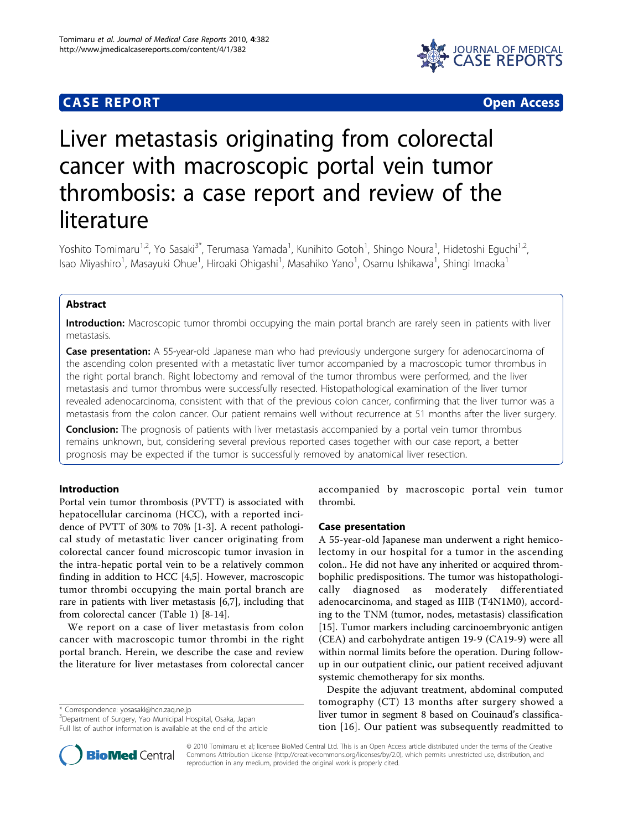## **CASE REPORT CASE REPORT CASE REPORT**



# Liver metastasis originating from colorectal cancer with macroscopic portal vein tumor thrombosis: a case report and review of the literature

Yoshito Tomimaru<sup>1,2</sup>, Yo Sasaki<sup>3\*</sup>, Terumasa Yamada<sup>1</sup>, Kunihito Gotoh<sup>1</sup>, Shingo Noura<sup>1</sup>, Hidetoshi Eguchi<sup>1,2</sup>, Isao Miyashiro<sup>1</sup>, Masayuki Ohue<sup>1</sup>, Hiroaki Ohigashi<sup>1</sup>, Masahiko Yano<sup>1</sup>, Osamu Ishikawa<sup>1</sup>, Shingi Imaoka<sup>1</sup>

## Abstract

Introduction: Macroscopic tumor thrombi occupying the main portal branch are rarely seen in patients with liver metastasis.

Case presentation: A 55-year-old Japanese man who had previously undergone surgery for adenocarcinoma of the ascending colon presented with a metastatic liver tumor accompanied by a macroscopic tumor thrombus in the right portal branch. Right lobectomy and removal of the tumor thrombus were performed, and the liver metastasis and tumor thrombus were successfully resected. Histopathological examination of the liver tumor revealed adenocarcinoma, consistent with that of the previous colon cancer, confirming that the liver tumor was a metastasis from the colon cancer. Our patient remains well without recurrence at 51 months after the liver surgery.

Conclusion: The prognosis of patients with liver metastasis accompanied by a portal vein tumor thrombus remains unknown, but, considering several previous reported cases together with our case report, a better prognosis may be expected if the tumor is successfully removed by anatomical liver resection.

## Introduction

Portal vein tumor thrombosis (PVTT) is associated with hepatocellular carcinoma (HCC), with a reported incidence of PVTT of 30% to 70% [[1](#page-3-0)-[3\]](#page-3-0). A recent pathological study of metastatic liver cancer originating from colorectal cancer found microscopic tumor invasion in the intra-hepatic portal vein to be a relatively common finding in addition to HCC [\[4](#page-3-0)[,5](#page-4-0)]. However, macroscopic tumor thrombi occupying the main portal branch are rare in patients with liver metastasis [[6,7\]](#page-4-0), including that from colorectal cancer (Table [1](#page-1-0)) [\[8-14](#page-4-0)].

We report on a case of liver metastasis from colon cancer with macroscopic tumor thrombi in the right portal branch. Herein, we describe the case and review the literature for liver metastases from colorectal cancer

\* Correspondence: [yosasaki@hcn.zaq.ne.jp](mailto:yosasaki@hcn.zaq.ne.jp)

<sup>3</sup>Department of Surgery, Yao Municipal Hospital, Osaka, Japan Full list of author information is available at the end of the article



## Case presentation

A 55-year-old Japanese man underwent a right hemicolectomy in our hospital for a tumor in the ascending colon.. He did not have any inherited or acquired thrombophilic predispositions. The tumor was histopathologically diagnosed as moderately differentiated adenocarcinoma, and staged as IIIB (T4N1M0), according to the TNM (tumor, nodes, metastasis) classification [[15\]](#page-4-0). Tumor markers including carcinoembryonic antigen (CEA) and carbohydrate antigen 19-9 (CA19-9) were all within normal limits before the operation. During followup in our outpatient clinic, our patient received adjuvant systemic chemotherapy for six months.

Despite the adjuvant treatment, abdominal computed tomography (CT) 13 months after surgery showed a liver tumor in segment 8 based on Couinaud's classification [[16\]](#page-4-0). Our patient was subsequently readmitted to



© 2010 Tomimaru et al; licensee BioMed Central Ltd. This is an Open Access article distributed under the terms of the Creative Commons Attribution License [\(http://creativecommons.org/licenses/by/2.0](http://creativecommons.org/licenses/by/2.0)), which permits unrestricted use, distribution, and reproduction in any medium, provided the original work is properly cited.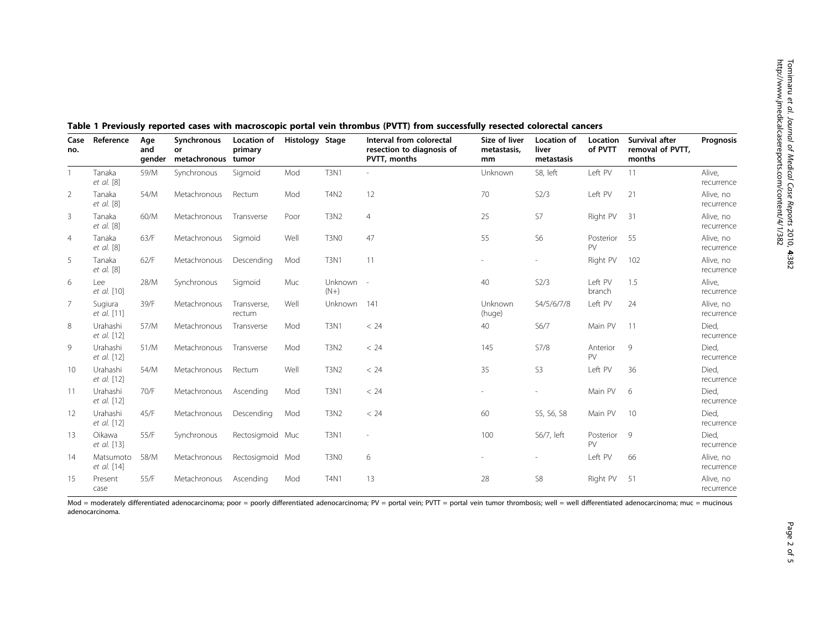| Case<br>no.    | Reference                | Age<br>and<br>qender | Synchronous<br>or<br>metachronous | Location of<br>primary<br>tumor | Histology Stage |                               | Interval from colorectal<br>resection to diagnosis of<br>PVTT, months | Size of liver<br>metastasis,<br>mm | Location of<br>liver<br>metastasis | <b>Location</b><br>of PVTT | Survival after<br>removal of PVTT,<br>months | Prognosis               |
|----------------|--------------------------|----------------------|-----------------------------------|---------------------------------|-----------------|-------------------------------|-----------------------------------------------------------------------|------------------------------------|------------------------------------|----------------------------|----------------------------------------------|-------------------------|
| 1              | Tanaka<br>et al. [8]     | 59/M                 | Synchronous                       | Sigmoid                         | Mod             | <b>T3N1</b>                   | ä,                                                                    | <b>Unknown</b>                     | S8, left                           | Left PV                    | 11                                           | Alive,<br>recurrence    |
| 2              | Tanaka<br>et al. [8]     | 54/M                 | Metachronous                      | Rectum                          | Mod             | <b>T4N2</b>                   | 12                                                                    | 70                                 | S2/3                               | Left PV                    | 21                                           | Alive, no<br>recurrence |
| 3              | Tanaka<br>et al. [8]     | 60/M                 | Metachronous                      | Transverse                      | Poor            | <b>T3N2</b>                   | $\overline{4}$                                                        | 25                                 | S7                                 | Right PV 31                |                                              | Alive, no<br>recurrence |
| $\overline{4}$ | Tanaka<br>et al. [8]     | 63/F                 | Metachronous                      | Sigmoid                         | Well            | T3N0                          | 47                                                                    | 55                                 | S <sub>6</sub>                     | Posterior<br>PV            | 55                                           | Alive, no<br>recurrence |
| 5              | Tanaka<br>et al. [8]     | 62/F                 | Metachronous                      | Descending                      | Mod             | <b>T3N1</b>                   | 11                                                                    |                                    |                                    | Right PV                   | 102                                          | Alive, no<br>recurrence |
| 6              | Lee<br>et al. [10]       | 28/M                 | Synchronous                       | Sigmoid                         | Muc             | Unknown -<br>$(N+)$           |                                                                       | 40                                 | S2/3                               | Left PV<br>branch          | 1.5                                          | Alive,<br>recurrence    |
| $\overline{7}$ | Sugiura<br>et al. [11]   | 39/F                 | Metachronous                      | Transverse,<br>rectum           | Well            | Unknown                       | 141                                                                   | Unknown<br>(huge)                  | S4/5/6/7/8                         | Left PV                    | 24                                           | Alive, no<br>recurrence |
| 8              | Urahashi<br>et al. [12]  | 57/M                 | Metachronous                      | Transverse                      | Mod             | <b>T3N1</b>                   | < 24                                                                  | 40                                 | S6/7                               | Main PV                    | 11                                           | Died,<br>recurrence     |
| 9              | Urahashi<br>et al. [12]  | 51/M                 | Metachronous                      | Transverse                      | Mod             | <b>T3N2</b>                   | < 24                                                                  | 145                                | S7/8                               | Anterior<br>PV             | 9                                            | Died,<br>recurrence     |
| 10             | Urahashi<br>et al. [12]  | 54/M                 | Metachronous                      | Rectum                          | Well            | <b>T3N2</b>                   | < 24                                                                  | 35                                 | S <sub>3</sub>                     | Left PV                    | 36                                           | Died,<br>recurrence     |
| 11             | Urahashi<br>et al. [12]  | 70/F                 | Metachronous                      | Ascending                       | Mod             | <b>T3N1</b>                   | < 24                                                                  |                                    |                                    | Main PV                    | 6                                            | Died,<br>recurrence     |
| 12             | Urahashi<br>et al. [12]  | 45/F                 | Metachronous                      | Descending                      | Mod             | <b>T3N2</b>                   | < 24                                                                  | 60                                 | S5, S6, S8                         | Main PV                    | 10                                           | Died,<br>recurrence     |
| 13             | Oikawa<br>et al. [13]    | 55/F                 | Synchronous                       | Rectosigmoid Muc                |                 | T <sub>3</sub> N <sub>1</sub> |                                                                       | 100                                | S6/7, left                         | Posterior<br>PV            | 9                                            | Died.<br>recurrence     |
| 14             | Matsumoto<br>et al. [14] | 58/M                 | Metachronous                      | Rectosigmoid Mod                |                 | T <sub>3</sub> N <sub>0</sub> | 6                                                                     |                                    |                                    | Left PV                    | 66                                           | Alive, no<br>recurrence |
| 15             | Present<br>case          | 55/F                 | Metachronous                      | Ascending                       | Mod             | <b>T4N1</b>                   | 13                                                                    | 28                                 | S8                                 | Right PV                   | 51                                           | Alive, no<br>recurrence |

<span id="page-1-0"></span>Table 1 Previously reported cases with macroscopic portal vein thrombus (PVTT) from successfully resected colorectal cancers

Mod = moderately differentiated adenocarcinoma; poor = poorly differentiated adenocarcinoma; PV = portal vein; PVTT = portal vein tumor thrombosis; well = well differentiated adenocarcinoma; muc = mucinous adenocarcinoma.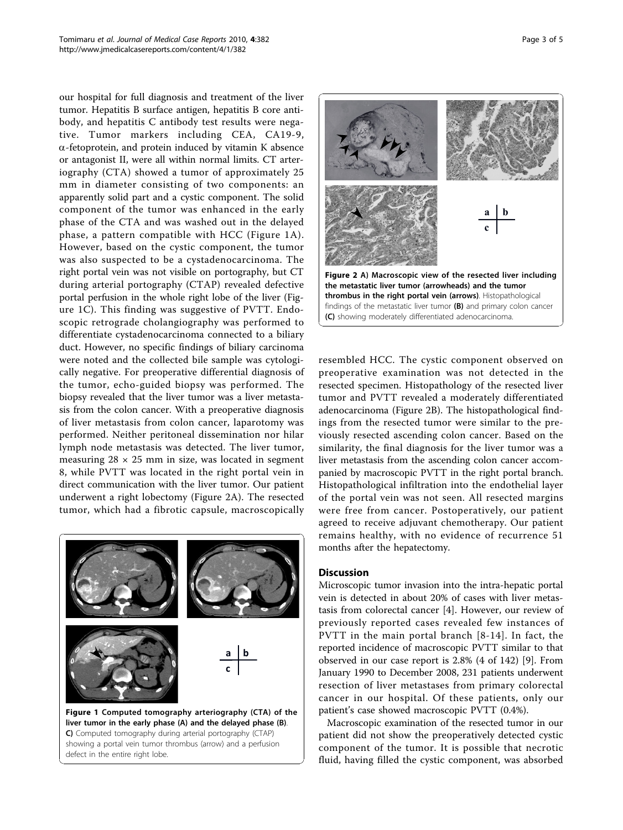our hospital for full diagnosis and treatment of the liver tumor. Hepatitis B surface antigen, hepatitis B core antibody, and hepatitis C antibody test results were negative. Tumor markers including CEA, CA19-9, a-fetoprotein, and protein induced by vitamin K absence or antagonist II, were all within normal limits. CT arteriography (CTA) showed a tumor of approximately 25 mm in diameter consisting of two components: an apparently solid part and a cystic component. The solid component of the tumor was enhanced in the early phase of the CTA and was washed out in the delayed phase, a pattern compatible with HCC (Figure 1A). However, based on the cystic component, the tumor was also suspected to be a cystadenocarcinoma. The right portal vein was not visible on portography, but CT during arterial portography (CTAP) revealed defective portal perfusion in the whole right lobe of the liver (Figure 1C). This finding was suggestive of PVTT. Endoscopic retrograde cholangiography was performed to differentiate cystadenocarcinoma connected to a biliary duct. However, no specific findings of biliary carcinoma were noted and the collected bile sample was cytologically negative. For preoperative differential diagnosis of the tumor, echo-guided biopsy was performed. The biopsy revealed that the liver tumor was a liver metastasis from the colon cancer. With a preoperative diagnosis of liver metastasis from colon cancer, laparotomy was performed. Neither peritoneal dissemination nor hilar lymph node metastasis was detected. The liver tumor, measuring  $28 \times 25$  mm in size, was located in segment 8, while PVTT was located in the right portal vein in direct communication with the liver tumor. Our patient underwent a right lobectomy (Figure 2A). The resected tumor, which had a fibrotic capsule, macroscopically





resembled HCC. The cystic component observed on preoperative examination was not detected in the resected specimen. Histopathology of the resected liver tumor and PVTT revealed a moderately differentiated adenocarcinoma (Figure 2B). The histopathological findings from the resected tumor were similar to the previously resected ascending colon cancer. Based on the similarity, the final diagnosis for the liver tumor was a liver metastasis from the ascending colon cancer accompanied by macroscopic PVTT in the right portal branch. Histopathological infiltration into the endothelial layer of the portal vein was not seen. All resected margins were free from cancer. Postoperatively, our patient agreed to receive adjuvant chemotherapy. Our patient remains healthy, with no evidence of recurrence 51 months after the hepatectomy.

## **Discussion**

Microscopic tumor invasion into the intra-hepatic portal vein is detected in about 20% of cases with liver metastasis from colorectal cancer [[4\]](#page-3-0). However, our review of previously reported cases revealed few instances of PVTT in the main portal branch [\[8-14](#page-4-0)]. In fact, the reported incidence of macroscopic PVTT similar to that observed in our case report is 2.8% (4 of 142) [[9\]](#page-4-0). From January 1990 to December 2008, 231 patients underwent resection of liver metastases from primary colorectal cancer in our hospital. Of these patients, only our patient's case showed macroscopic PVTT (0.4%).

Macroscopic examination of the resected tumor in our patient did not show the preoperatively detected cystic component of the tumor. It is possible that necrotic fluid, having filled the cystic component, was absorbed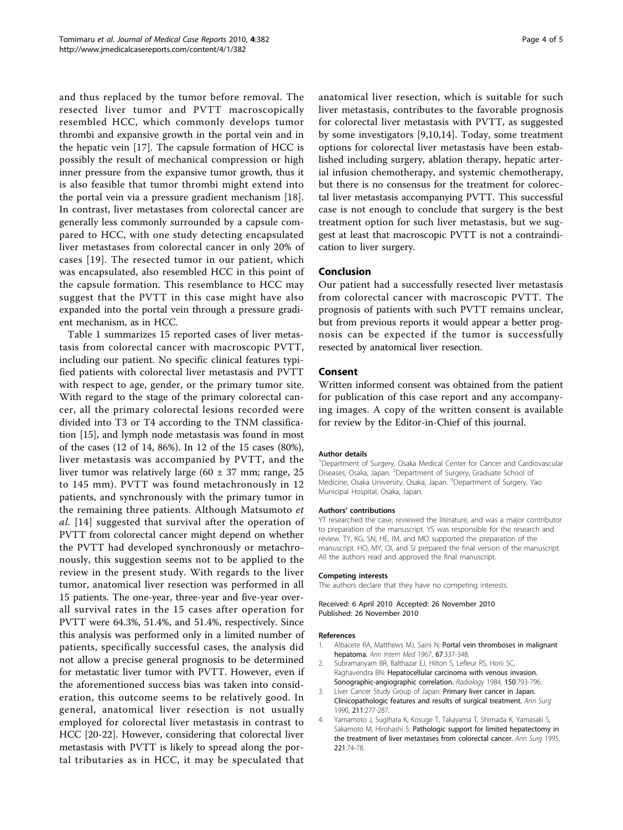<span id="page-3-0"></span>and thus replaced by the tumor before removal. The resected liver tumor and PVTT macroscopically resembled HCC, which commonly develops tumor thrombi and expansive growth in the portal vein and in the hepatic vein [[17\]](#page-4-0). The capsule formation of HCC is possibly the result of mechanical compression or high inner pressure from the expansive tumor growth, thus it is also feasible that tumor thrombi might extend into the portal vein via a pressure gradient mechanism [[18](#page-4-0)]. In contrast, liver metastases from colorectal cancer are generally less commonly surrounded by a capsule compared to HCC, with one study detecting encapsulated liver metastases from colorectal cancer in only 20% of cases [[19\]](#page-4-0). The resected tumor in our patient, which was encapsulated, also resembled HCC in this point of the capsule formation. This resemblance to HCC may suggest that the PVTT in this case might have also expanded into the portal vein through a pressure gradient mechanism, as in HCC.

Table [1](#page-1-0) summarizes 15 reported cases of liver metastasis from colorectal cancer with macroscopic PVTT, including our patient. No specific clinical features typified patients with colorectal liver metastasis and PVTT with respect to age, gender, or the primary tumor site. With regard to the stage of the primary colorectal cancer, all the primary colorectal lesions recorded were divided into T3 or T4 according to the TNM classification [\[15](#page-4-0)], and lymph node metastasis was found in most of the cases (12 of 14, 86%). In 12 of the 15 cases (80%), liver metastasis was accompanied by PVTT, and the liver tumor was relatively large  $(60 \pm 37 \text{ mm})$ ; range, 25 to 145 mm). PVTT was found metachronously in 12 patients, and synchronously with the primary tumor in the remaining three patients. Although Matsumoto et al. [[14](#page-4-0)] suggested that survival after the operation of PVTT from colorectal cancer might depend on whether the PVTT had developed synchronously or metachronously, this suggestion seems not to be applied to the review in the present study. With regards to the liver tumor, anatomical liver resection was performed in all 15 patients. The one-year, three-year and five-year overall survival rates in the 15 cases after operation for PVTT were 64.3%, 51.4%, and 51.4%, respectively. Since this analysis was performed only in a limited number of patients, specifically successful cases, the analysis did not allow a precise general prognosis to be determined for metastatic liver tumor with PVTT. However, even if the aforementioned success bias was taken into consideration, this outcome seems to be relatively good. In general, anatomical liver resection is not usually employed for colorectal liver metastasis in contrast to HCC [\[20](#page-4-0)-[22\]](#page-4-0). However, considering that colorectal liver metastasis with PVTT is likely to spread along the portal tributaries as in HCC, it may be speculated that

anatomical liver resection, which is suitable for such liver metastasis, contributes to the favorable prognosis for colorectal liver metastasis with PVTT, as suggested by some investigators [\[9](#page-4-0),[10,14\]](#page-4-0). Today, some treatment options for colorectal liver metastasis have been established including surgery, ablation therapy, hepatic arterial infusion chemotherapy, and systemic chemotherapy, but there is no consensus for the treatment for colorectal liver metastasis accompanying PVTT. This successful case is not enough to conclude that surgery is the best treatment option for such liver metastasis, but we suggest at least that macroscopic PVTT is not a contraindication to liver surgery.

## Conclusion

Our patient had a successfully resected liver metastasis from colorectal cancer with macroscopic PVTT. The prognosis of patients with such PVTT remains unclear, but from previous reports it would appear a better prognosis can be expected if the tumor is successfully resected by anatomical liver resection.

#### Consent

Written informed consent was obtained from the patient for publication of this case report and any accompanying images. A copy of the written consent is available for review by the Editor-in-Chief of this journal.

#### Author details

<sup>1</sup>Department of Surgery, Osaka Medical Center for Cancer and Cardiovascular Diseases, Osaka, Japan. <sup>2</sup>Department of Surgery, Graduate School of Medicine, Osaka University, Osaka, Japan. <sup>3</sup> Department of Surgery, Yao Municipal Hospital, Osaka, Japan.

#### Authors' contributions

YT researched the case, reviewed the literature, and was a major contributor to preparation of the manuscript. YS was responsible for the research and review. TY, KG, SN, HE, IM, and MO supported the preparation of the manuscript. HO, MY, OI, and SI prepared the final version of the manuscript. All the authors read and approved the final manuscript.

#### Competing interests

The authors declare that they have no competing interests.

#### Received: 6 April 2010 Accepted: 26 November 2010 Published: 26 November 2010

#### References

- 1. Albacete RA, Matthews MJ, Saini N: [Portal vein thromboses in malignant](http://www.ncbi.nlm.nih.gov/pubmed/4292083?dopt=Abstract) [hepatoma.](http://www.ncbi.nlm.nih.gov/pubmed/4292083?dopt=Abstract) Ann Intern Med 1967, 67:337-348.
- 2. Subramanyam BR, Balthazar EJ, Hilton S, Lefleur RS, Horii SC, Raghavendra BN: [Hepatocellular carcinoma with venous invasion.](http://www.ncbi.nlm.nih.gov/pubmed/6320259?dopt=Abstract) [Sonographic-angiographic correlation.](http://www.ncbi.nlm.nih.gov/pubmed/6320259?dopt=Abstract) Radiology 1984, 150:793-796.
- 3. Liver Cancer Study Group of Japan: [Primary liver cancer in Japan.](http://www.ncbi.nlm.nih.gov/pubmed/2155591?dopt=Abstract) [Clinicopathologic features and results of surgical treatment.](http://www.ncbi.nlm.nih.gov/pubmed/2155591?dopt=Abstract) Ann Surg 1990, 211:277-287.
- 4. Yamamoto J, Sugihara K, Kosuge T, Takayama T, Shimada K, Yamasaki S, Sakamoto M, Hirohashi S: [Pathologic support for limited hepatectomy in](http://www.ncbi.nlm.nih.gov/pubmed/7826164?dopt=Abstract) [the treatment of liver metastases from colorectal cancer.](http://www.ncbi.nlm.nih.gov/pubmed/7826164?dopt=Abstract) Ann Surg 1995, 221:74-78.